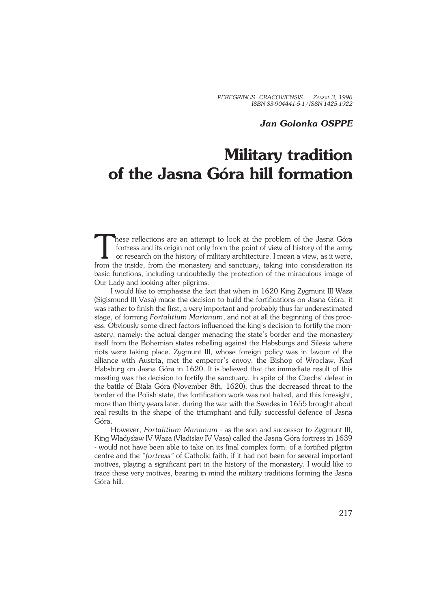*PEREGRINUS CRACOVIENSIS Zeszyt 3, 1996 ISBN 83−904441−5−1 / ISSN 1425−1922*

## *Jan Golonka OSPPE*

## **Military tradition of the Jasna Góra hill formation**

These reflections are an attempt to look at the problem of the Jasna Góra fortress and its origin not only from the point of view of history of the army or research on the history of military architecture. I mean a view, a hese reflections are an attempt to look at the problem of the Jasna Góra fortress and its origin not only from the point of view of history of the army or research on the history of military architecture. I mean a view, as it were, basic functions, including undoubtedly the protection of the miraculous image of Our Lady and looking after pilgrims.

I would like to emphasise the fact that when in 1620 King Zygmunt III Waza (Sigismund III Vasa) made the decision to build the fortifications on Jasna Góra, it was rather to finish the first, a very important and probably thus far underestimated stage, of forming *Fortalitium Marianum*, and not at all the beginning of this proc− ess. Obviously some direct factors influenced the king's decision to fortify the mon− astery, namely: the actual danger menacing the state's border and the monastery itself from the Bohemian states rebelling against the Habsburgs and Silesia where riots were taking place. Zygmunt III, whose foreign policy was in favour of the alliance with Austria, met the emperor's envoy, the Bishop of Wroclaw, Karl Habsburg on Jasna Góra in 1620. It is believed that the immediate result of this meeting was the decision to fortify the sanctuary. In spite of the Czechs' defeat in the battle of Biała Góra (November 8th, 1620), thus the decreased threat to the border of the Polish state, the fortification work was not halted, and this foresight, more than thirty years later, during the war with the Swedes in 1655 brought about real results in the shape of the triumphant and fully successful defence of Jasna Góra.

However, *Fortalitium Marianum* − as the son and successor to Zygmunt III, King Władysław IV Waza (Vladislav IV Vasa) called the Jasna Góra fortress in 1639 − would not have been able to take on its final complex form: of a fortified pilgrim centre and the *"fortress"* of Catholic faith, if it had not been for several important motives, playing a significant part in the history of the monastery. I would like to trace these very motives, bearing in mind the military traditions forming the Jasna Góra hill.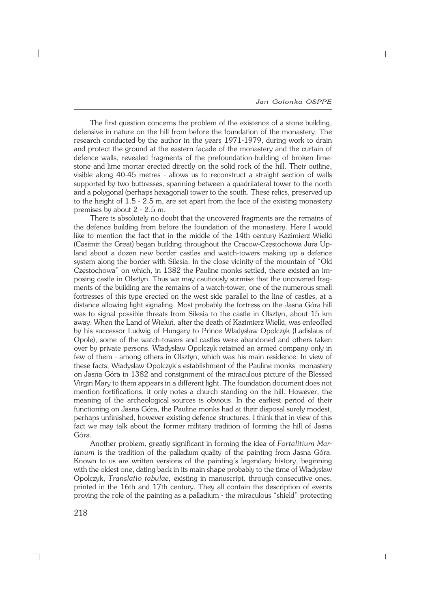$\Box$ 

The first question concerns the problem of the existence of a stone building, defensive in nature on the hill from before the foundation of the monastery. The research conducted by the author in the years 1971−1979, during work to drain and protect the ground at the eastern façade of the monastery and the curtain of defence walls, revealed fragments of the prefoundation−building of broken lime− stone and lime mortar erected directly on the solid rock of the hill. Their outline, visible along 40−45 metres − allows us to reconstruct a straight section of walls supported by two buttresses, spanning between a quadrilateral tower to the north and a polygonal (perhaps hexagonal) tower to the south. These relics, preserved up to the height of 1.5 − 2.5 m, are set apart from the face of the existing monastery premises by about 2 − 2.5 m.

There is absolutely no doubt that the uncovered fragments are the remains of the defence building from before the foundation of the monastery. Here I would like to mention the fact that in the middle of the 14th century Kazimierz Wielki (Casimir the Great) began building throughout the Cracow−Częstochowa Jura Up− land about a dozen new border castles and watch−towers making up a defence system along the border with Silesia. In the close vicinity of the mountain of "Old Częstochowa" on which, in 1382 the Pauline monks settled, there existed an im− posing castle in Olsztyn. Thus we may cautiously surmise that the uncovered frag− ments of the building are the remains of a watch−tower, one of the numerous small fortresses of this type erected on the west side parallel to the line of castles, at a distance allowing light signaling. Most probably the fortress on the Jasna Góra hill was to signal possible threats from Silesia to the castle in Olsztyn, about 15 km away. When the Land of Wieluń, after the death of Kazimierz Wielki, was enfeoffed by his successor Ludwig of Hungary to Prince Władysław Opolczyk (Ladislaus of Opole), some of the watch−towers and castles were abandoned and others taken over by private persons. Władysław Opolczyk retained an armed company only in few of them − among others in Olsztyn, which was his main residence. In view of these facts, Władysław Opolczyk's establishment of the Pauline monks' monastery on Jasna Góra in 1382 and consignment of the miraculous picture of the Blessed Virgin Mary to them appears in a different light. The foundation document does not mention fortifications, it only notes a church standing on the hill. However, the meaning of the archeological sources is obvious. In the earliest period of their functioning on Jasna Góra, the Pauline monks had at their disposal surely modest, perhaps unfinished, however existing defence structures. I think that in view of this fact we may talk about the former military tradition of forming the hill of Jasna Góra.

Another problem, greatly significant in forming the idea of *Fortalitium Mar− ianum* is the tradition of the palladium quality of the painting from Jasna Góra. Known to us are written versions of the painting's legendary history, beginning with the oldest one, dating back in its main shape probably to the time of Władysław Opolczyk, *Translatio tabulae,* existing in manuscript, through consecutive ones, printed in the 16th and 17th century. They all contain the description of events proving the role of the painting as a palladium − the miraculous "shield" protecting

218

┑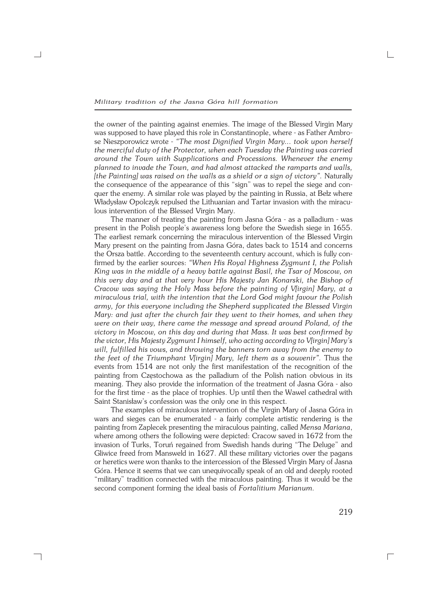the owner of the painting against enemies. The image of the Blessed Virgin Mary was supposed to have played this role in Constantinople, where − as Father Ambro− se Nieszporowicz wrote − *"The most Dignified Virgin Mary... took upon herself the merciful duty of the Protector, when each Tuesday the Painting was carried around the Town with Supplications and Processions. Whenever the enemy planned to invade the Town, and had almost attacked the ramparts and walls, [the Painting] was raised on the walls as a shield or a sign of victory". Naturally* the consequence of the appearance of this "sign" was to repel the siege and con− quer the enemy. A similar role was played by the painting in Russia, at Bełz where Władysław Opolczyk repulsed the Lithuanian and Tartar invasion with the miracu− lous intervention of the Blessed Virgin Mary.

The manner of treating the painting from Jasna Góra − as a palladium − was present in the Polish people's awareness long before the Swedish siege in 1655. The earliest remark concerning the miraculous intervention of the Blessed Virgin Mary present on the painting from Jasna Góra, dates back to 1514 and concerns the Orsza battle. According to the seventeenth century account, which is fully con− firmed by the earlier sources: *"When His Royal Highness Zygmunt I, the Polish King was in the middle of a heavy battle against Basil, the Tsar of Moscow, on this very day and at that very hour His Majesty Jan Konarski, the Bishop of Cracow was saying the Holy Mass before the painting of V[irgin] Mary, at a miraculous trial, with the intention that the Lord God might favour the Polish army, for this everyone including the Shepherd supplicated the Blessed Virgin Mary: and just after the church fair they went to their homes, and when they were on their way, there came the message and spread around Poland, of the victory in Moscow, on this day and during that Mass. It was best confirmed by the victor, His Majesty Zygmunt I himself, who acting according to V[irgin] Mary's will, fulfilled his vows, and throwing the banners torn away from the enemy to the feet of the Triumphant V[irgin] Mary, left them as a souvenir".* Thus the events from 1514 are not only the first manifestation of the recognition of the painting from Częstochowa as the palladium of the Polish nation obvious in its meaning. They also provide the information of the treatment of Jasna Góra − also for the first time − as the place of trophies. Up until then the Wawel cathedral with Saint Stanisław's confession was the only one in this respect.

The examples of miraculous intervention of the Virgin Mary of Jasna Góra in wars and sieges can be enumerated − a fairly complete artistic rendering is the painting from Zaplecek presenting the miraculous painting, called *Mensa Mariana*, where among others the following were depicted: Cracow saved in 1672 from the invasion of Turks, Toruń regained from Swedish hands during "The Deluge" and Gliwice freed from Mansweld in 1627. All these military victories over the pagans or heretics were won thanks to the intercession of the Blessed Virgin Mary of Jasna Góra. Hence it seems that we can unequivocally speak of an old and deeply rooted "military" tradition connected with the miraculous painting. Thus it would be the second component forming the ideal basis of *Fortalitium Marianum.*

┐

 $\Box$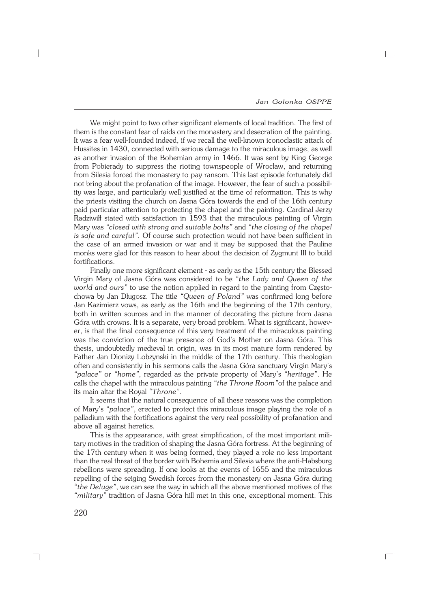$\Gamma$ 

We might point to two other significant elements of local tradition. The first of them is the constant fear of raids on the monastery and desecration of the painting. It was a fear well−founded indeed, if we recall the well−known iconoclastic attack of Hussites in 1430, connected with serious damage to the miraculous image, as well as another invasion of the Bohemian army in 1466. It was sent by King George from Pobierady to suppress the rioting townspeople of Wrocław, and returning from Silesia forced the monastery to pay ransom. This last episode fortunately did not bring about the profanation of the image. However, the fear of such a possibil− ity was large, and particularly well justified at the time of reformation. This is why the priests visiting the church on Jasna Góra towards the end of the 16th century paid particular attention to protecting the chapel and the painting. Cardinal Jerzy Radziwiłł stated with satisfaction in 1593 that the miraculous painting of Virgin Mary was *"closed with strong and suitable bolts"* and *"the closing of the chapel is safe and careful".* Of course such protection would not have been sufficient in the case of an armed invasion or war and it may be supposed that the Pauline monks were glad for this reason to hear about the decision of Zygmunt III to build fortifications.

Finally one more significant element − as early as the 15th century the Blessed Virgin Mary of Jasna Góra was considered to be *"the Lady and Queen of the world and ours"* to use the notion applied in regard to the painting from Często− chowa by Jan Długosz. The title *"Queen of Poland"* was confirmed long before Jan Kazimierz vows, as early as the 16th and the beginning of the 17th century, both in written sources and in the manner of decorating the picture from Jasna Góra with crowns. It is a separate, very broad problem. What is significant, howev− er, is that the final consequence of this very treatment of the miraculous painting was the conviction of the true presence of God's Mother on Jasna Góra. This thesis, undoubtedly medieval in origin, was in its most mature form rendered by Father Jan Dionizy Lobzynski in the middle of the 17th century. This theologian often and consistently in his sermons calls the Jasna Góra sanctuary Virgin Mary's *"palace"* or *"home"*, regarded as the private property of Mary's *"heritage"*. He calls the chapel with the miraculous painting *"the Throne Room"*of the palace and its main altar the Royal *"Throne".*

It seems that the natural consequence of all these reasons was the completion of Mary's *"palace"*, erected to protect this miraculous image playing the role of a palladium with the fortifications against the very real possibility of profanation and above all against heretics.

This is the appearance, with great simplification, of the most important military motives in the tradition of shaping the Jasna Góra fortress. At the beginning of the 17th century when it was being formed, they played a role no less important than the real threat of the border with Bohemia and Silesia where the anti−Habsburg rebellions were spreading. If one looks at the events of 1655 and the miraculous repelling of the seiging Swedish forces from the monastery on Jasna Góra during *"the Deluge"*, we can see the way in which all the above mentioned motives of the *"military"* tradition of Jasna Góra hill met in this one, exceptional moment. This

┑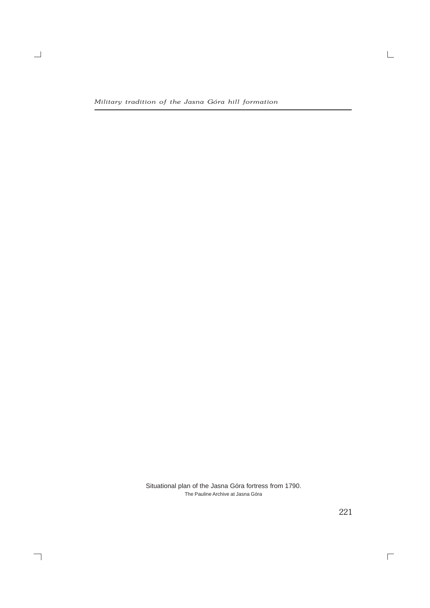$\overline{\phantom{0}}$ 

 $\overline{\phantom{a}}$ 

Situational plan of the Jasna Góra fortress from 1790. The Pauline Archive at Jasna Góra

221

 $\overline{\Box}$ 

 $\Box$